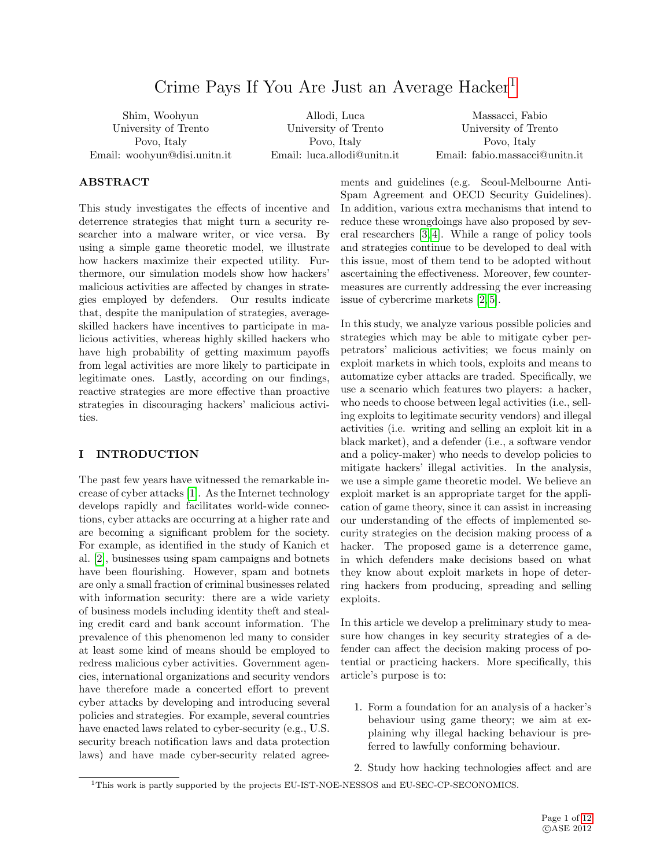# Crime Pays If You Are Just an Average Hacker<sup>[1](#page-0-0)</sup>

Shim, Woohyun University of Trento Povo, Italy Email: woohyun@disi.unitn.it

Allodi, Luca University of Trento Povo, Italy Email: luca.allodi@unitn.it

Massacci, Fabio University of Trento Povo, Italy Email: fabio.massacci@unitn.it

### ABSTRACT

This study investigates the effects of incentive and deterrence strategies that might turn a security researcher into a malware writer, or vice versa. By using a simple game theoretic model, we illustrate how hackers maximize their expected utility. Furthermore, our simulation models show how hackers' malicious activities are affected by changes in strategies employed by defenders. Our results indicate that, despite the manipulation of strategies, averageskilled hackers have incentives to participate in malicious activities, whereas highly skilled hackers who have high probability of getting maximum payoffs from legal activities are more likely to participate in legitimate ones. Lastly, according on our findings, reactive strategies are more effective than proactive strategies in discouraging hackers' malicious activities.

### I INTRODUCTION

The past few years have witnessed the remarkable increase of cyber attacks [\[1\]](#page-10-0). As the Internet technology develops rapidly and facilitates world-wide connections, cyber attacks are occurring at a higher rate and are becoming a significant problem for the society. For example, as identified in the study of Kanich et al. [\[2\]](#page-10-1), businesses using spam campaigns and botnets have been flourishing. However, spam and botnets are only a small fraction of criminal businesses related with information security: there are a wide variety of business models including identity theft and stealing credit card and bank account information. The prevalence of this phenomenon led many to consider at least some kind of means should be employed to redress malicious cyber activities. Government agencies, international organizations and security vendors have therefore made a concerted effort to prevent cyber attacks by developing and introducing several policies and strategies. For example, several countries have enacted laws related to cyber-security (e.g., U.S. security breach notification laws and data protection laws) and have made cyber-security related agreements and guidelines (e.g. Seoul-Melbourne Anti-Spam Agreement and OECD Security Guidelines). In addition, various extra mechanisms that intend to reduce these wrongdoings have also proposed by several researchers [\[3,](#page-10-2) [4\]](#page-10-3). While a range of policy tools and strategies continue to be developed to deal with this issue, most of them tend to be adopted without ascertaining the effectiveness. Moreover, few countermeasures are currently addressing the ever increasing issue of cybercrime markets [\[2,](#page-10-1) [5\]](#page-10-4).

In this study, we analyze various possible policies and strategies which may be able to mitigate cyber perpetrators' malicious activities; we focus mainly on exploit markets in which tools, exploits and means to automatize cyber attacks are traded. Specifically, we use a scenario which features two players: a hacker, who needs to choose between legal activities (i.e., selling exploits to legitimate security vendors) and illegal activities (i.e. writing and selling an exploit kit in a black market), and a defender (i.e., a software vendor and a policy-maker) who needs to develop policies to mitigate hackers' illegal activities. In the analysis, we use a simple game theoretic model. We believe an exploit market is an appropriate target for the application of game theory, since it can assist in increasing our understanding of the effects of implemented security strategies on the decision making process of a hacker. The proposed game is a deterrence game, in which defenders make decisions based on what they know about exploit markets in hope of deterring hackers from producing, spreading and selling exploits.

In this article we develop a preliminary study to measure how changes in key security strategies of a defender can affect the decision making process of potential or practicing hackers. More specifically, this article's purpose is to:

1. Form a foundation for an analysis of a hacker's behaviour using game theory; we aim at explaining why illegal hacking behaviour is preferred to lawfully conforming behaviour.

2. Study how hacking technologies affect and are

<span id="page-0-0"></span><sup>1</sup>This work is partly supported by the projects EU-IST-NOE-NESSOS and EU-SEC-CP-SECONOMICS.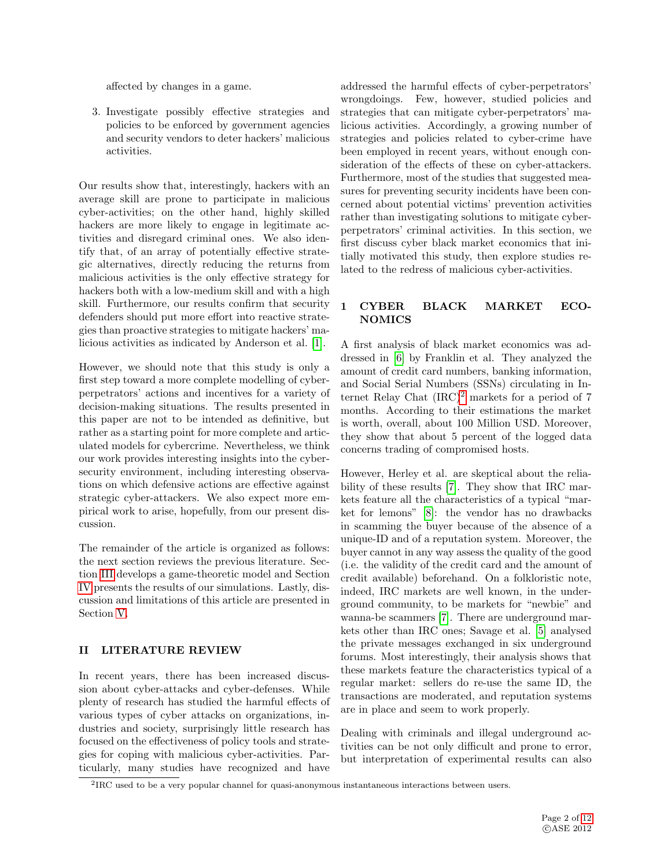affected by changes in a game.

3. Investigate possibly effective strategies and policies to be enforced by government agencies and security vendors to deter hackers' malicious activities.

Our results show that, interestingly, hackers with an average skill are prone to participate in malicious cyber-activities; on the other hand, highly skilled hackers are more likely to engage in legitimate activities and disregard criminal ones. We also identify that, of an array of potentially effective strategic alternatives, directly reducing the returns from malicious activities is the only effective strategy for hackers both with a low-medium skill and with a high skill. Furthermore, our results confirm that security defenders should put more effort into reactive strategies than proactive strategies to mitigate hackers' malicious activities as indicated by Anderson et al. [\[1\]](#page-10-0).

However, we should note that this study is only a first step toward a more complete modelling of cyberperpetrators' actions and incentives for a variety of decision-making situations. The results presented in this paper are not to be intended as definitive, but rather as a starting point for more complete and articulated models for cybercrime. Nevertheless, we think our work provides interesting insights into the cybersecurity environment, including interesting observations on which defensive actions are effective against strategic cyber-attackers. We also expect more empirical work to arise, hopefully, from our present discussion.

The remainder of the article is organized as follows: the next section reviews the previous literature. Section [III](#page-3-0) develops a game-theoretic model and Section [IV](#page-7-0) presents the results of our simulations. Lastly, discussion and limitations of this article are presented in Section [V.](#page-9-0)

#### <span id="page-1-1"></span>II LITERATURE REVIEW

In recent years, there has been increased discussion about cyber-attacks and cyber-defenses. While plenty of research has studied the harmful effects of various types of cyber attacks on organizations, industries and society, surprisingly little research has focused on the effectiveness of policy tools and strategies for coping with malicious cyber-activities. Particularly, many studies have recognized and have addressed the harmful effects of cyber-perpetrators' wrongdoings. Few, however, studied policies and strategies that can mitigate cyber-perpetrators' malicious activities. Accordingly, a growing number of strategies and policies related to cyber-crime have been employed in recent years, without enough consideration of the effects of these on cyber-attackers. Furthermore, most of the studies that suggested measures for preventing security incidents have been concerned about potential victims' prevention activities rather than investigating solutions to mitigate cyberperpetrators' criminal activities. In this section, we first discuss cyber black market economics that initially motivated this study, then explore studies related to the redress of malicious cyber-activities.

### 1 CYBER BLACK MARKET ECO-NOMICS

A first analysis of black market economics was addressed in [\[6\]](#page-10-5) by Franklin et al. They analyzed the amount of credit card numbers, banking information, and Social Serial Numbers (SSNs) circulating in Internet Relay Chat  $(IRC)^2$  $(IRC)^2$  markets for a period of 7 months. According to their estimations the market is worth, overall, about 100 Million USD. Moreover, they show that about 5 percent of the logged data concerns trading of compromised hosts.

However, Herley et al. are skeptical about the reliability of these results [\[7\]](#page-10-6). They show that IRC markets feature all the characteristics of a typical "market for lemons" [\[8\]](#page-10-7): the vendor has no drawbacks in scamming the buyer because of the absence of a unique-ID and of a reputation system. Moreover, the buyer cannot in any way assess the quality of the good (i.e. the validity of the credit card and the amount of credit available) beforehand. On a folkloristic note, indeed, IRC markets are well known, in the underground community, to be markets for "newbie" and wanna-be scammers [\[7\]](#page-10-6). There are underground markets other than IRC ones; Savage et al. [\[5\]](#page-10-4) analysed the private messages exchanged in six underground forums. Most interestingly, their analysis shows that these markets feature the characteristics typical of a regular market: sellers do re-use the same ID, the transactions are moderated, and reputation systems are in place and seem to work properly.

Dealing with criminals and illegal underground activities can be not only difficult and prone to error, but interpretation of experimental results can also

<span id="page-1-0"></span><sup>2</sup> IRC used to be a very popular channel for quasi-anonymous instantaneous interactions between users.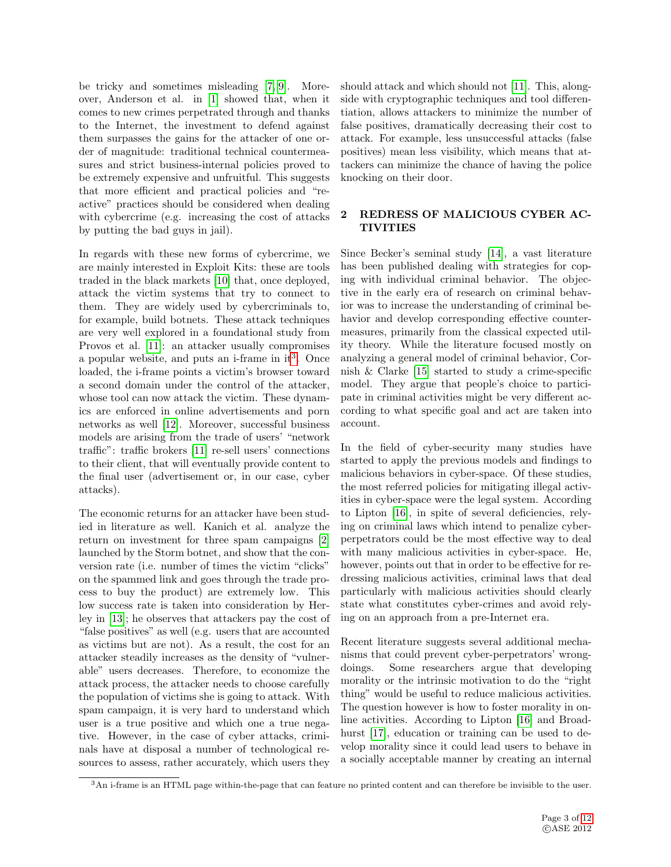be tricky and sometimes misleading [\[7,](#page-10-6) [9\]](#page-10-8). Moreover, Anderson et al. in [\[1\]](#page-10-0) showed that, when it comes to new crimes perpetrated through and thanks to the Internet, the investment to defend against them surpasses the gains for the attacker of one order of magnitude: traditional technical countermeasures and strict business-internal policies proved to be extremely expensive and unfruitful. This suggests that more efficient and practical policies and "reactive" practices should be considered when dealing with cybercrime (e.g. increasing the cost of attacks by putting the bad guys in jail).

In regards with these new forms of cybercrime, we are mainly interested in Exploit Kits: these are tools traded in the black markets [\[10\]](#page-10-9) that, once deployed, attack the victim systems that try to connect to them. They are widely used by cybercriminals to, for example, build botnets. These attack techniques are very well explored in a foundational study from Provos et al. [\[11\]](#page-10-10): an attacker usually compromises a popular website, and puts an i-frame in  $it<sup>3</sup>$  $it<sup>3</sup>$  $it<sup>3</sup>$ . Once loaded, the i-frame points a victim's browser toward a second domain under the control of the attacker, whose tool can now attack the victim. These dynamics are enforced in online advertisements and porn networks as well [\[12\]](#page-10-11). Moreover, successful business models are arising from the trade of users' "network traffic": traffic brokers [\[11\]](#page-10-10) re-sell users' connections to their client, that will eventually provide content to the final user (advertisement or, in our case, cyber attacks).

The economic returns for an attacker have been studied in literature as well. Kanich et al. analyze the return on investment for three spam campaigns [\[2\]](#page-10-1) launched by the Storm botnet, and show that the conversion rate (i.e. number of times the victim "clicks" on the spammed link and goes through the trade process to buy the product) are extremely low. This low success rate is taken into consideration by Herley in [\[13\]](#page-10-12); he observes that attackers pay the cost of "false positives" as well (e.g. users that are accounted as victims but are not). As a result, the cost for an attacker steadily increases as the density of "vulnerable" users decreases. Therefore, to economize the attack process, the attacker needs to choose carefully the population of victims she is going to attack. With spam campaign, it is very hard to understand which user is a true positive and which one a true negative. However, in the case of cyber attacks, criminals have at disposal a number of technological resources to assess, rather accurately, which users they

should attack and which should not [\[11\]](#page-10-10). This, alongside with cryptographic techniques and tool differentiation, allows attackers to minimize the number of false positives, dramatically decreasing their cost to attack. For example, less unsuccessful attacks (false positives) mean less visibility, which means that attackers can minimize the chance of having the police knocking on their door.

#### 2 REDRESS OF MALICIOUS CYBER AC-TIVITIES

Since Becker's seminal study [\[14\]](#page-10-13), a vast literature has been published dealing with strategies for coping with individual criminal behavior. The objective in the early era of research on criminal behavior was to increase the understanding of criminal behavior and develop corresponding effective countermeasures, primarily from the classical expected utility theory. While the literature focused mostly on analyzing a general model of criminal behavior, Cornish & Clarke [\[15\]](#page-10-14) started to study a crime-specific model. They argue that people's choice to participate in criminal activities might be very different according to what specific goal and act are taken into account.

In the field of cyber-security many studies have started to apply the previous models and findings to malicious behaviors in cyber-space. Of these studies, the most referred policies for mitigating illegal activities in cyber-space were the legal system. According to Lipton [\[16\]](#page-10-15), in spite of several deficiencies, relying on criminal laws which intend to penalize cyberperpetrators could be the most effective way to deal with many malicious activities in cyber-space. He, however, points out that in order to be effective for redressing malicious activities, criminal laws that deal particularly with malicious activities should clearly state what constitutes cyber-crimes and avoid relying on an approach from a pre-Internet era.

Recent literature suggests several additional mechanisms that could prevent cyber-perpetrators' wrongdoings. Some researchers argue that developing morality or the intrinsic motivation to do the "right thing" would be useful to reduce malicious activities. The question however is how to foster morality in online activities. According to Lipton [\[16\]](#page-10-15) and Broadhurst [\[17\]](#page-10-16), education or training can be used to develop morality since it could lead users to behave in a socially acceptable manner by creating an internal

<span id="page-2-0"></span> $3\text{An i-frame is an HTML page within-the-page that can feature no printed content and can therefore be invisible to the user.}$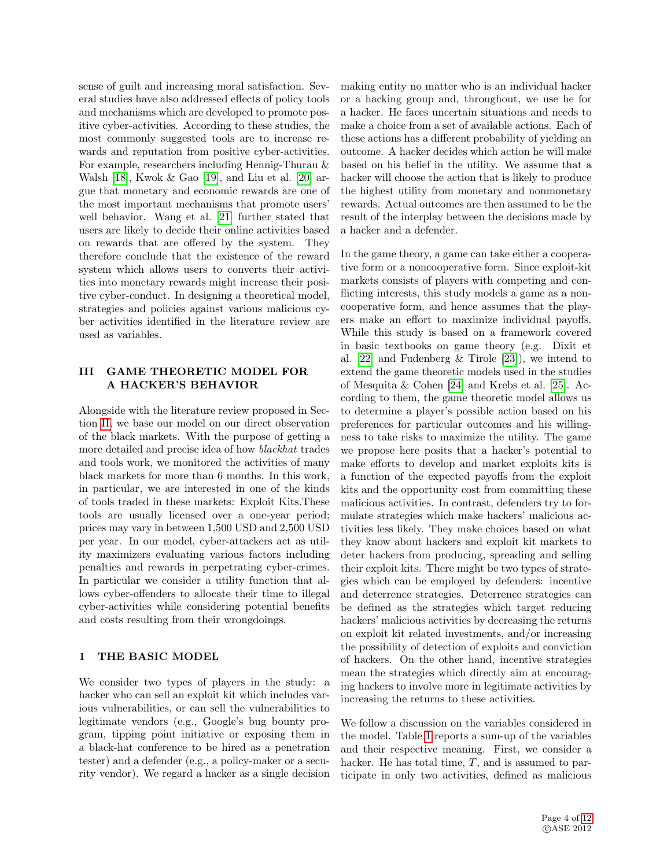sense of guilt and increasing moral satisfaction. Several studies have also addressed effects of policy tools and mechanisms which are developed to promote positive cyber-activities. According to these studies, the most commonly suggested tools are to increase rewards and reputation from positive cyber-activities. For example, researchers including Hennig-Thurau & Walsh [\[18\]](#page-10-17), Kwok & Gao [\[19\]](#page-10-18), and Liu et al. [\[20\]](#page-10-19) argue that monetary and economic rewards are one of the most important mechanisms that promote users' well behavior. Wang et al. [\[21\]](#page-10-20) further stated that users are likely to decide their online activities based on rewards that are offered by the system. They therefore conclude that the existence of the reward system which allows users to converts their activities into monetary rewards might increase their positive cyber-conduct. In designing a theoretical model, strategies and policies against various malicious cyber activities identified in the literature review are used as variables.

#### <span id="page-3-0"></span>III GAME THEORETIC MODEL FOR A HACKER'S BEHAVIOR

Alongside with the literature review proposed in Section [II,](#page-1-1) we base our model on our direct observation of the black markets. With the purpose of getting a more detailed and precise idea of how blackhat trades and tools work, we monitored the activities of many black markets for more than 6 months. In this work, in particular, we are interested in one of the kinds of tools traded in these markets: Exploit Kits.These tools are usually licensed over a one-year period; prices may vary in between 1,500 USD and 2,500 USD per year. In our model, cyber-attackers act as utility maximizers evaluating various factors including penalties and rewards in perpetrating cyber-crimes. In particular we consider a utility function that allows cyber-offenders to allocate their time to illegal cyber-activities while considering potential benefits and costs resulting from their wrongdoings.

# 1 THE BASIC MODEL

We consider two types of players in the study: a hacker who can sell an exploit kit which includes various vulnerabilities, or can sell the vulnerabilities to legitimate vendors (e.g., Google's bug bounty program, tipping point initiative or exposing them in a black-hat conference to be hired as a penetration tester) and a defender (e.g., a policy-maker or a security vendor). We regard a hacker as a single decision making entity no matter who is an individual hacker or a hacking group and, throughout, we use he for a hacker. He faces uncertain situations and needs to make a choice from a set of available actions. Each of these actions has a different probability of yielding an outcome. A hacker decides which action he will make based on his belief in the utility. We assume that a hacker will choose the action that is likely to produce the highest utility from monetary and nonmonetary rewards. Actual outcomes are then assumed to be the result of the interplay between the decisions made by a hacker and a defender.

In the game theory, a game can take either a cooperative form or a noncooperative form. Since exploit-kit markets consists of players with competing and conflicting interests, this study models a game as a noncooperative form, and hence assumes that the players make an effort to maximize individual payoffs. While this study is based on a framework covered in basic textbooks on game theory (e.g. Dixit et al. [\[22\]](#page-11-1) and Fudenberg & Tirole [\[23\]](#page-11-2)), we intend to extend the game theoretic models used in the studies of Mesquita & Cohen [\[24\]](#page-11-3) and Krebs et al. [\[25\]](#page-11-4). According to them, the game theoretic model allows us to determine a player's possible action based on his preferences for particular outcomes and his willingness to take risks to maximize the utility. The game we propose here posits that a hacker's potential to make efforts to develop and market exploits kits is a function of the expected payoffs from the exploit kits and the opportunity cost from committing these malicious activities. In contrast, defenders try to formulate strategies which make hackers' malicious activities less likely. They make choices based on what they know about hackers and exploit kit markets to deter hackers from producing, spreading and selling their exploit kits. There might be two types of strategies which can be employed by defenders: incentive and deterrence strategies. Deterrence strategies can be defined as the strategies which target reducing hackers' malicious activities by decreasing the returns on exploit kit related investments, and/or increasing the possibility of detection of exploits and conviction of hackers. On the other hand, incentive strategies mean the strategies which directly aim at encouraging hackers to involve more in legitimate activities by increasing the returns to these activities.

We follow a discussion on the variables considered in the model. Table [1](#page-4-0) reports a sum-up of the variables and their respective meaning. First, we consider a hacker. He has total time,  $T$ , and is assumed to participate in only two activities, defined as malicious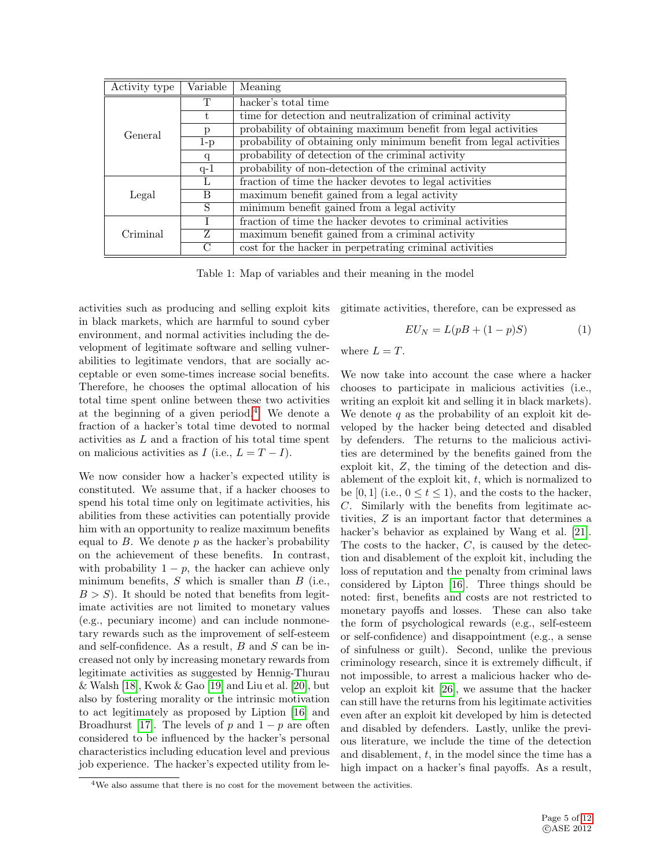| Activity type | Variable      | Meaning                                                             |  |  |  |  |
|---------------|---------------|---------------------------------------------------------------------|--|--|--|--|
| General       | T             | hacker's total time                                                 |  |  |  |  |
|               | t.            | time for detection and neutralization of criminal activity          |  |  |  |  |
|               | p             | probability of obtaining maximum benefit from legal activities      |  |  |  |  |
|               | $1-p$         | probability of obtaining only minimum benefit from legal activities |  |  |  |  |
|               | q             | probability of detection of the criminal activity                   |  |  |  |  |
|               | $q-1$         | probability of non-detection of the criminal activity               |  |  |  |  |
| Legal         | L             | fraction of time the hacker devotes to legal activities             |  |  |  |  |
|               | B             | maximum benefit gained from a legal activity                        |  |  |  |  |
|               | S             | minimum benefit gained from a legal activity                        |  |  |  |  |
| Criminal      |               | fraction of time the hacker devotes to criminal activities          |  |  |  |  |
|               | Z             | maximum benefit gained from a criminal activity                     |  |  |  |  |
|               | $\mathcal{C}$ | cost for the hacker in perpetrating criminal activities             |  |  |  |  |

<span id="page-4-0"></span>Table 1: Map of variables and their meaning in the model

activities such as producing and selling exploit kits in black markets, which are harmful to sound cyber environment, and normal activities including the development of legitimate software and selling vulnerabilities to legitimate vendors, that are socially acceptable or even some-times increase social benefits. Therefore, he chooses the optimal allocation of his total time spent online between these two activities at the beginning of a given period.[4](#page-4-1) We denote a fraction of a hacker's total time devoted to normal activities as L and a fraction of his total time spent on malicious activities as  $I$  (i.e.,  $L = T - I$ ).

We now consider how a hacker's expected utility is constituted. We assume that, if a hacker chooses to spend his total time only on legitimate activities, his abilities from these activities can potentially provide him with an opportunity to realize maximum benefits equal to  $B$ . We denote  $p$  as the hacker's probability on the achievement of these benefits. In contrast, with probability  $1 - p$ , the hacker can achieve only minimum benefits,  $S$  which is smaller than  $B$  (i.e.,  $B > S$ ). It should be noted that benefits from legitimate activities are not limited to monetary values (e.g., pecuniary income) and can include nonmonetary rewards such as the improvement of self-esteem and self-confidence. As a result, B and S can be increased not only by increasing monetary rewards from legitimate activities as suggested by Hennig-Thurau  $&$  Walsh [\[18\]](#page-10-17), Kwok  $&$  Gao [\[19\]](#page-10-18) and Liu et al. [\[20\]](#page-10-19), but also by fostering morality or the intrinsic motivation to act legitimately as proposed by Liption [\[16\]](#page-10-15) and Broadhurst [\[17\]](#page-10-16). The levels of p and  $1 - p$  are often considered to be influenced by the hacker's personal characteristics including education level and previous job experience. The hacker's expected utility from le-

gitimate activities, therefore, can be expressed as

$$
EU_N = L(pB + (1 - p)S)
$$
 (1)

where  $L = T$ .

We now take into account the case where a hacker chooses to participate in malicious activities (i.e., writing an exploit kit and selling it in black markets). We denote  $q$  as the probability of an exploit kit developed by the hacker being detected and disabled by defenders. The returns to the malicious activities are determined by the benefits gained from the exploit kit, Z, the timing of the detection and disablement of the exploit kit,  $t$ , which is normalized to be [0, 1] (i.e.,  $0 \le t \le 1$ ), and the costs to the hacker, C. Similarly with the benefits from legitimate activities, Z is an important factor that determines a hacker's behavior as explained by Wang et al. [\[21\]](#page-10-20). The costs to the hacker,  $C$ , is caused by the detection and disablement of the exploit kit, including the loss of reputation and the penalty from criminal laws considered by Lipton [\[16\]](#page-10-15). Three things should be noted: first, benefits and costs are not restricted to monetary payoffs and losses. These can also take the form of psychological rewards (e.g., self-esteem or self-confidence) and disappointment (e.g., a sense of sinfulness or guilt). Second, unlike the previous criminology research, since it is extremely difficult, if not impossible, to arrest a malicious hacker who develop an exploit kit [\[26\]](#page-11-5), we assume that the hacker can still have the returns from his legitimate activities even after an exploit kit developed by him is detected and disabled by defenders. Lastly, unlike the previous literature, we include the time of the detection and disablement, t, in the model since the time has a high impact on a hacker's final payoffs. As a result,

<span id="page-4-1"></span><sup>4</sup>We also assume that there is no cost for the movement between the activities.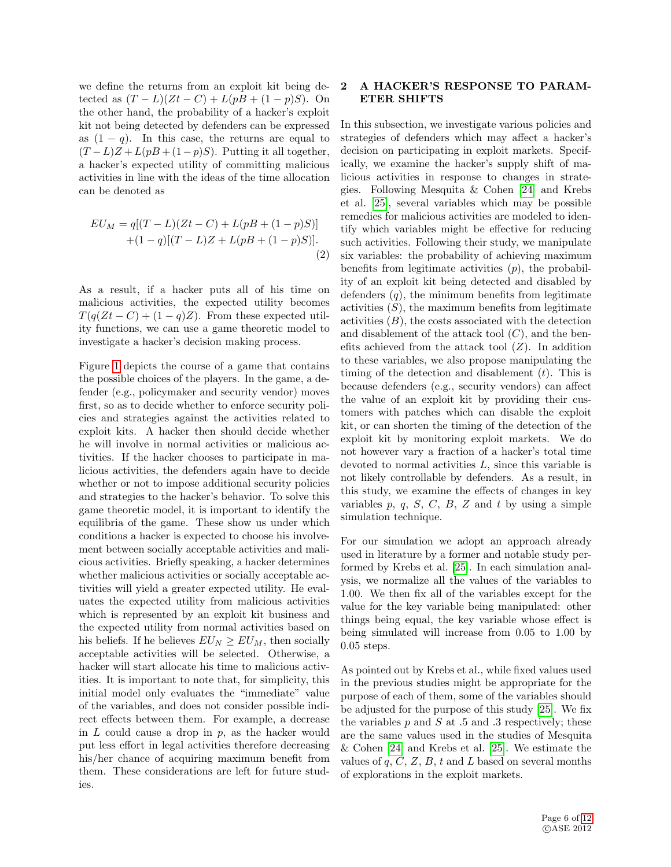we define the returns from an exploit kit being detected as  $(T - L)(Zt - C) + L(pB + (1 - p)S)$ . On the other hand, the probability of a hacker's exploit kit not being detected by defenders can be expressed as  $(1 - q)$ . In this case, the returns are equal to  $(T - L)Z + L(pB + (1 - p)S)$ . Putting it all together, a hacker's expected utility of committing malicious activities in line with the ideas of the time allocation can be denoted as

$$
EU_M = q[(T - L)(Zt - C) + L(pB + (1 - p)S)]
$$
  
+(1 - q)[(T - L)Z + L(pB + (1 - p)S)]. (2)

As a result, if a hacker puts all of his time on malicious activities, the expected utility becomes  $T(q(Zt - C) + (1 - q)Z)$ . From these expected utility functions, we can use a game theoretic model to investigate a hacker's decision making process.

Figure [1](#page-6-0) depicts the course of a game that contains the possible choices of the players. In the game, a defender (e.g., policymaker and security vendor) moves first, so as to decide whether to enforce security policies and strategies against the activities related to exploit kits. A hacker then should decide whether he will involve in normal activities or malicious activities. If the hacker chooses to participate in malicious activities, the defenders again have to decide whether or not to impose additional security policies and strategies to the hacker's behavior. To solve this game theoretic model, it is important to identify the equilibria of the game. These show us under which conditions a hacker is expected to choose his involvement between socially acceptable activities and malicious activities. Briefly speaking, a hacker determines whether malicious activities or socially acceptable activities will yield a greater expected utility. He evaluates the expected utility from malicious activities which is represented by an exploit kit business and the expected utility from normal activities based on his beliefs. If he believes  $EU_N \geq EU_M$ , then socially acceptable activities will be selected. Otherwise, a hacker will start allocate his time to malicious activities. It is important to note that, for simplicity, this initial model only evaluates the "immediate" value of the variables, and does not consider possible indirect effects between them. For example, a decrease in  $L$  could cause a drop in  $p$ , as the hacker would put less effort in legal activities therefore decreasing his/her chance of acquiring maximum benefit from them. These considerations are left for future studies.

#### 2 A HACKER'S RESPONSE TO PARAM-ETER SHIFTS

In this subsection, we investigate various policies and strategies of defenders which may affect a hacker's decision on participating in exploit markets. Specifically, we examine the hacker's supply shift of malicious activities in response to changes in strategies. Following Mesquita & Cohen [\[24\]](#page-11-3) and Krebs et al. [\[25\]](#page-11-4), several variables which may be possible remedies for malicious activities are modeled to identify which variables might be effective for reducing such activities. Following their study, we manipulate six variables: the probability of achieving maximum benefits from legitimate activities  $(p)$ , the probability of an exploit kit being detected and disabled by defenders  $(q)$ , the minimum benefits from legitimate activities  $(S)$ , the maximum benefits from legitimate activities  $(B)$ , the costs associated with the detection and disablement of the attack tool  $(C)$ , and the benefits achieved from the attack tool  $(Z)$ . In addition to these variables, we also propose manipulating the timing of the detection and disablement  $(t)$ . This is because defenders (e.g., security vendors) can affect the value of an exploit kit by providing their customers with patches which can disable the exploit kit, or can shorten the timing of the detection of the exploit kit by monitoring exploit markets. We do not however vary a fraction of a hacker's total time devoted to normal activities L, since this variable is not likely controllable by defenders. As a result, in this study, we examine the effects of changes in key variables  $p, q, S, C, B, Z$  and t by using a simple simulation technique.

For our simulation we adopt an approach already used in literature by a former and notable study performed by Krebs et al. [\[25\]](#page-11-4). In each simulation analysis, we normalize all the values of the variables to 1.00. We then fix all of the variables except for the value for the key variable being manipulated: other things being equal, the key variable whose effect is being simulated will increase from 0.05 to 1.00 by 0.05 steps.

As pointed out by Krebs et al., while fixed values used in the previous studies might be appropriate for the purpose of each of them, some of the variables should be adjusted for the purpose of this study [\[25\]](#page-11-4). We fix the variables  $p$  and  $S$  at  $.5$  and  $.3$  respectively; these are the same values used in the studies of Mesquita & Cohen [\[24\]](#page-11-3) and Krebs et al. [\[25\]](#page-11-4). We estimate the values of  $q, C, Z, B, t$  and L based on several months of explorations in the exploit markets.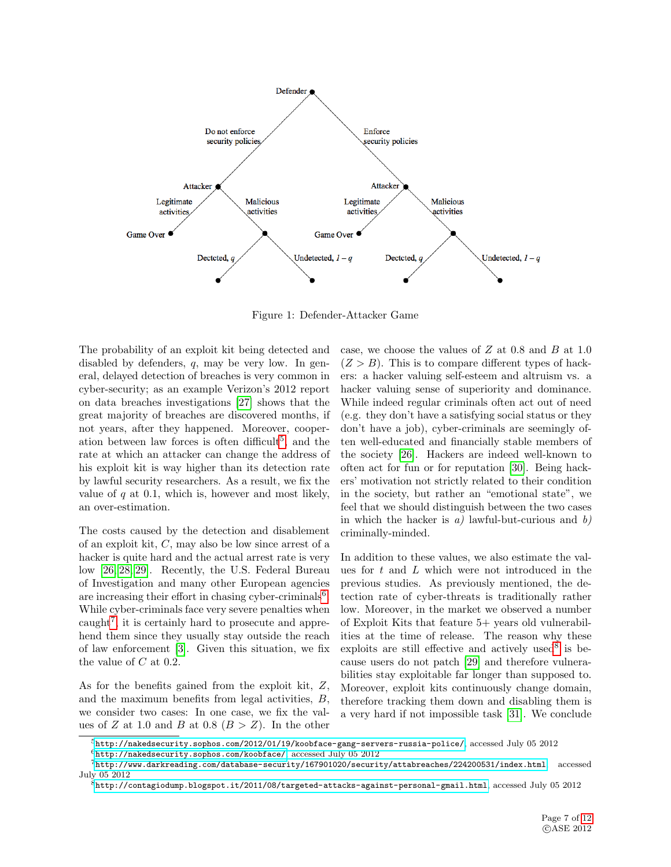

<span id="page-6-0"></span>Figure 1: Defender-Attacker Game

The probability of an exploit kit being detected and disabled by defenders, q, may be very low. In general, delayed detection of breaches is very common in cyber-security; as an example Verizon's 2012 report on data breaches investigations [\[27\]](#page-11-6) shows that the great majority of breaches are discovered months, if not years, after they happened. Moreover, cooper-ation between law forces is often difficult<sup>[5](#page-6-1)</sup>, and the rate at which an attacker can change the address of his exploit kit is way higher than its detection rate by lawful security researchers. As a result, we fix the value of  $q$  at 0.1, which is, however and most likely, an over-estimation.

The costs caused by the detection and disablement of an exploit kit, C, may also be low since arrest of a hacker is quite hard and the actual arrest rate is very low [\[26,](#page-11-5) [28,](#page-11-7) [29\]](#page-11-8). Recently, the U.S. Federal Bureau of Investigation and many other European agencies are increasing their effort in chasing cyber-criminals<sup>[6](#page-6-2)</sup>. While cyber-criminals face very severe penalties when caught[7](#page-6-3) , it is certainly hard to prosecute and apprehend them since they usually stay outside the reach of law enforcement [\[3\]](#page-10-2). Given this situation, we fix the value of  $C$  at 0.2.

As for the benefits gained from the exploit kit, Z, and the maximum benefits from legal activities, B, we consider two cases: In one case, we fix the values of Z at 1.0 and B at 0.8  $(B > Z)$ . In the other case, we choose the values of  $Z$  at 0.8 and  $B$  at 1.0  $(Z > B)$ . This is to compare different types of hackers: a hacker valuing self-esteem and altruism vs. a hacker valuing sense of superiority and dominance. While indeed regular criminals often act out of need (e.g. they don't have a satisfying social status or they don't have a job), cyber-criminals are seemingly often well-educated and financially stable members of the society [\[26\]](#page-11-5). Hackers are indeed well-known to often act for fun or for reputation [\[30\]](#page-11-9). Being hackers' motivation not strictly related to their condition in the society, but rather an "emotional state", we feel that we should distinguish between the two cases in which the hacker is  $a)$  lawful-but-curious and  $b)$ criminally-minded.

In addition to these values, we also estimate the values for  $t$  and  $L$  which were not introduced in the previous studies. As previously mentioned, the detection rate of cyber-threats is traditionally rather low. Moreover, in the market we observed a number of Exploit Kits that feature 5+ years old vulnerabilities at the time of release. The reason why these exploits are still effective and actively used<sup>[8](#page-6-4)</sup> is because users do not patch [\[29\]](#page-11-8) and therefore vulnerabilities stay exploitable far longer than supposed to. Moreover, exploit kits continuously change domain, therefore tracking them down and disabling them is a very hard if not impossible task [\[31\]](#page-11-10). We conclude

<span id="page-6-1"></span> $5$ <http://nakedsecurity.sophos.com/2012/01/19/koobface-gang-servers-russia-police/>, accessed July 05 2012

<span id="page-6-3"></span><span id="page-6-2"></span> $6$ <http://nakedsecurity.sophos.com/koobface/>, accessed July 05 2012

 $^{7}$ <http://www.darkreading.com/database-security/167901020/security/attabreaches/224200531/index.html>, accessed July 05 2012

<span id="page-6-4"></span> $8$ <http://contagiodump.blogspot.it/2011/08/targeted-attacks-against-personal-gmail.html>, accessed July 05 2012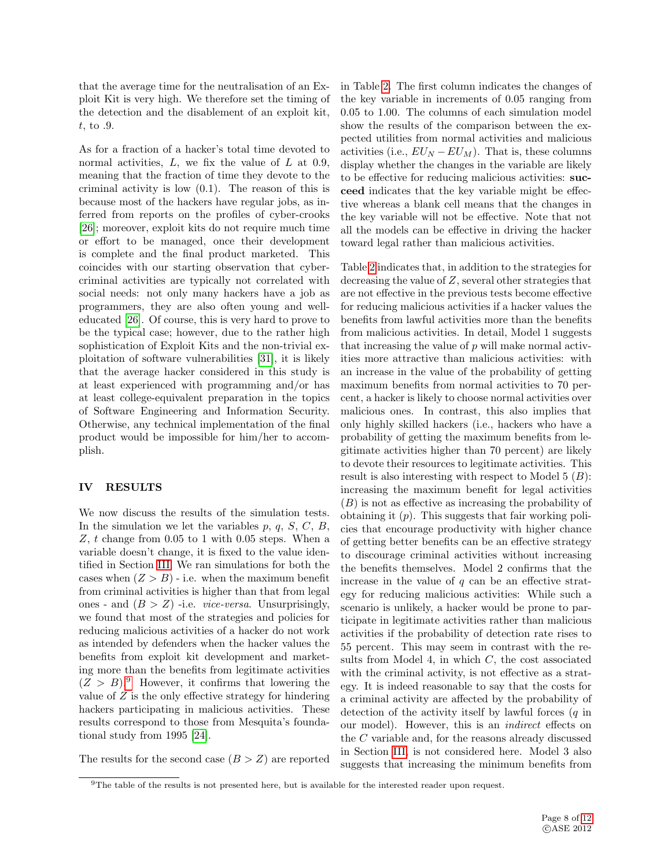that the average time for the neutralisation of an Exploit Kit is very high. We therefore set the timing of the detection and the disablement of an exploit kit, t, to .9.

As for a fraction of a hacker's total time devoted to normal activities,  $L$ , we fix the value of  $L$  at 0.9, meaning that the fraction of time they devote to the criminal activity is low  $(0.1)$ . The reason of this is because most of the hackers have regular jobs, as inferred from reports on the profiles of cyber-crooks [\[26\]](#page-11-5); moreover, exploit kits do not require much time or effort to be managed, once their development is complete and the final product marketed. This coincides with our starting observation that cybercriminal activities are typically not correlated with social needs: not only many hackers have a job as programmers, they are also often young and welleducated [\[26\]](#page-11-5). Of course, this is very hard to prove to be the typical case; however, due to the rather high sophistication of Exploit Kits and the non-trivial exploitation of software vulnerabilities [\[31\]](#page-11-10), it is likely that the average hacker considered in this study is at least experienced with programming and/or has at least college-equivalent preparation in the topics of Software Engineering and Information Security. Otherwise, any technical implementation of the final product would be impossible for him/her to accomplish.

#### <span id="page-7-0"></span>IV RESULTS

We now discuss the results of the simulation tests. In the simulation we let the variables  $p, q, S, C, B$ ,  $Z, t$  change from 0.05 to 1 with 0.05 steps. When a variable doesn't change, it is fixed to the value identified in Section [III.](#page-3-0) We ran simulations for both the cases when  $(Z > B)$  - i.e. when the maximum benefit from criminal activities is higher than that from legal ones - and  $(B > Z)$  -i.e. *vice-versa*. Unsurprisingly, we found that most of the strategies and policies for reducing malicious activities of a hacker do not work as intended by defenders when the hacker values the benefits from exploit kit development and marketing more than the benefits from legitimate activities  $(Z > B)^9$  $(Z > B)^9$ . However, it confirms that lowering the value of Z is the only effective strategy for hindering hackers participating in malicious activities. These results correspond to those from Mesquita's foundational study from 1995 [\[24\]](#page-11-3).

The results for the second case  $(B > Z)$  are reported

Table [2](#page-8-0) indicates that, in addition to the strategies for decreasing the value of Z, several other strategies that are not effective in the previous tests become effective for reducing malicious activities if a hacker values the benefits from lawful activities more than the benefits from malicious activities. In detail, Model 1 suggests that increasing the value of  $p$  will make normal activities more attractive than malicious activities: with an increase in the value of the probability of getting maximum benefits from normal activities to 70 percent, a hacker is likely to choose normal activities over malicious ones. In contrast, this also implies that only highly skilled hackers (i.e., hackers who have a probability of getting the maximum benefits from legitimate activities higher than 70 percent) are likely to devote their resources to legitimate activities. This result is also interesting with respect to Model  $5(B)$ : increasing the maximum benefit for legal activities (B) is not as effective as increasing the probability of obtaining it  $(p)$ . This suggests that fair working policies that encourage productivity with higher chance of getting better benefits can be an effective strategy to discourage criminal activities without increasing the benefits themselves. Model 2 confirms that the increase in the value of  $q$  can be an effective strategy for reducing malicious activities: While such a scenario is unlikely, a hacker would be prone to participate in legitimate activities rather than malicious activities if the probability of detection rate rises to 55 percent. This may seem in contrast with the results from Model 4, in which  $C$ , the cost associated with the criminal activity, is not effective as a strategy. It is indeed reasonable to say that the costs for a criminal activity are affected by the probability of detection of the activity itself by lawful forces  $(q$  in our model). However, this is an indirect effects on the C variable and, for the reasons already discussed in Section [III,](#page-3-0) is not considered here. Model 3 also suggests that increasing the minimum benefits from

in Table [2.](#page-8-0) The first column indicates the changes of the key variable in increments of 0.05 ranging from 0.05 to 1.00. The columns of each simulation model show the results of the comparison between the expected utilities from normal activities and malicious activities (i.e.,  $EU_N - EU_M$ ). That is, these columns display whether the changes in the variable are likely to be effective for reducing malicious activities: succeed indicates that the key variable might be effective whereas a blank cell means that the changes in the key variable will not be effective. Note that not all the models can be effective in driving the hacker toward legal rather than malicious activities.

<span id="page-7-1"></span><sup>9</sup>The table of the results is not presented here, but is available for the interested reader upon request.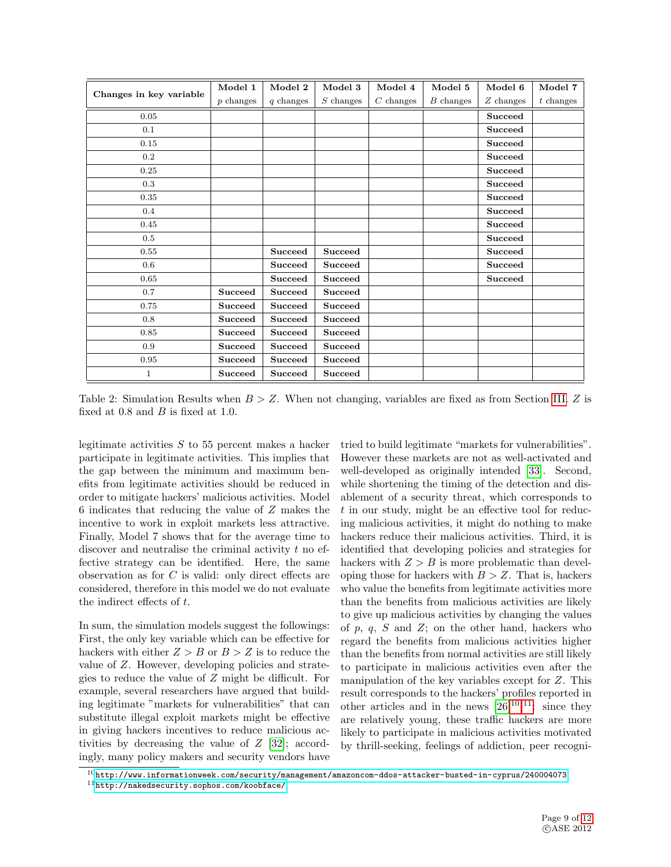| Changes in key variable | Model 1     | Model 2        | Model 3     | Model 4     | Model 5     | Model 6        | Model 7     |
|-------------------------|-------------|----------------|-------------|-------------|-------------|----------------|-------------|
|                         | $p$ changes | $q$ changes    | $S$ changes | $C$ changes | $B$ changes | $Z$ changes    | $t$ changes |
| 0.05                    |             |                |             |             |             | <b>Succeed</b> |             |
| 0.1                     |             |                |             |             |             | Succeed        |             |
| 0.15                    |             |                |             |             |             | Succeed        |             |
| 0.2                     |             |                |             |             |             | Succeed        |             |
| 0.25                    |             |                |             |             |             | Succeed        |             |
| 0.3                     |             |                |             |             |             | Succeed        |             |
| 0.35                    |             |                |             |             |             | Succeed        |             |
| 0.4                     |             |                |             |             |             | Succeed        |             |
| 0.45                    |             |                |             |             |             | Succeed        |             |
| 0.5                     |             |                |             |             |             | Succeed        |             |
| 0.55                    |             | Succeed        | Succeed     |             |             | Succeed        |             |
| 0.6                     |             | Succeed        | Succeed     |             |             | Succeed        |             |
| 0.65                    |             | Succeed        | Succeed     |             |             | Succeed        |             |
| 0.7                     | Succeed     | <b>Succeed</b> | Succeed     |             |             |                |             |
| 0.75                    | Succeed     | Succeed        | Succeed     |             |             |                |             |
| 0.8                     | Succeed     | Succeed        | Succeed     |             |             |                |             |
| 0.85                    | Succeed     | Succeed        | Succeed     |             |             |                |             |
| 0.9                     | Succeed     | <b>Succeed</b> | Succeed     |             |             |                |             |
| 0.95                    | Succeed     | Succeed        | Succeed     |             |             |                |             |
| $\mathbf{1}$            | Succeed     | Succeed        | Succeed     |             |             |                |             |

<span id="page-8-0"></span>Table 2: Simulation Results when  $B > Z$ . When not changing, variables are fixed as from Section [III.](#page-3-0) Z is fixed at  $0.8$  and  $B$  is fixed at 1.0.

legitimate activities  $S$  to 55 percent makes a hacker participate in legitimate activities. This implies that the gap between the minimum and maximum benefits from legitimate activities should be reduced in order to mitigate hackers' malicious activities. Model 6 indicates that reducing the value of Z makes the incentive to work in exploit markets less attractive. Finally, Model 7 shows that for the average time to discover and neutralise the criminal activity  $t$  no effective strategy can be identified. Here, the same observation as for C is valid: only direct effects are considered, therefore in this model we do not evaluate the indirect effects of t.

In sum, the simulation models suggest the followings: First, the only key variable which can be effective for hackers with either  $Z > B$  or  $B > Z$  is to reduce the value of Z. However, developing policies and strategies to reduce the value of Z might be difficult. For example, several researchers have argued that building legitimate "markets for vulnerabilities" that can substitute illegal exploit markets might be effective in giving hackers incentives to reduce malicious activities by decreasing the value of Z [\[32\]](#page-11-11); accordingly, many policy makers and security vendors have

tried to build legitimate "markets for vulnerabilities". However these markets are not as well-activated and well-developed as originally intended [\[33\]](#page-11-12). Second, while shortening the timing of the detection and disablement of a security threat, which corresponds to  $t$  in our study, might be an effective tool for reducing malicious activities, it might do nothing to make hackers reduce their malicious activities. Third, it is identified that developing policies and strategies for hackers with  $Z > B$  is more problematic than developing those for hackers with  $B > Z$ . That is, hackers who value the benefits from legitimate activities more than the benefits from malicious activities are likely to give up malicious activities by changing the values of  $p, q, S$  and  $Z$ ; on the other hand, hackers who regard the benefits from malicious activities higher than the benefits from normal activities are still likely to participate in malicious activities even after the manipulation of the key variables except for Z. This result corresponds to the hackers' profiles reported in other articles and in the news  $[26]^{10,11}$  $[26]^{10,11}$  $[26]^{10,11}$  $[26]^{10,11}$  $[26]^{10,11}$  $[26]^{10,11}$ : since they are relatively young, these traffic hackers are more likely to participate in malicious activities motivated by thrill-seeking, feelings of addiction, peer recogni-

<span id="page-8-1"></span> $10$ <http://www.informationweek.com/security/management/amazoncom-ddos-attacker-busted-in-cyprus/240004073>

<span id="page-8-2"></span> $11$ <http://nakedsecurity.sophos.com/koobface/>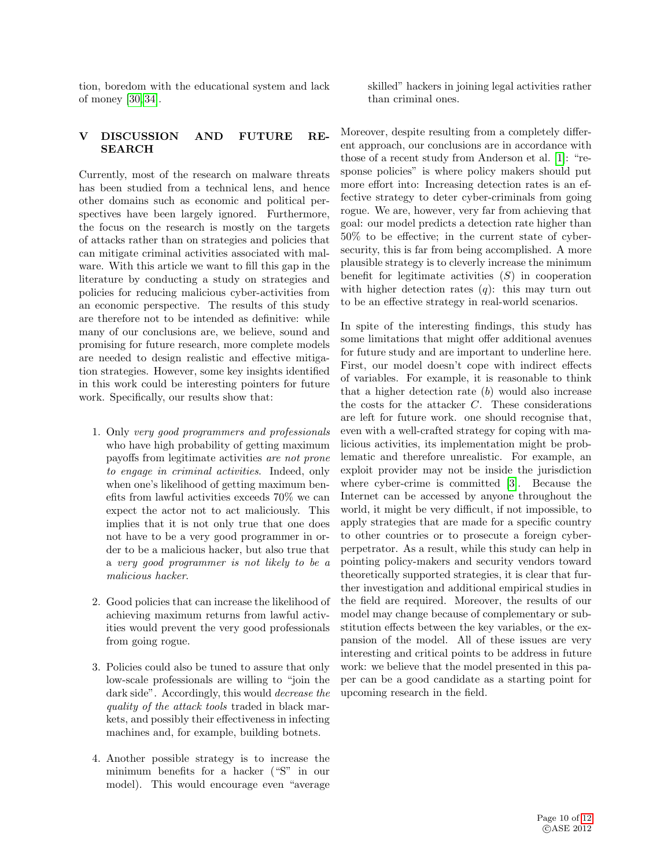tion, boredom with the educational system and lack of money [\[30,](#page-11-9) [34\]](#page-11-13).

# <span id="page-9-0"></span>V DISCUSSION AND FUTURE RE-SEARCH

Currently, most of the research on malware threats has been studied from a technical lens, and hence other domains such as economic and political perspectives have been largely ignored. Furthermore, the focus on the research is mostly on the targets of attacks rather than on strategies and policies that can mitigate criminal activities associated with malware. With this article we want to fill this gap in the literature by conducting a study on strategies and policies for reducing malicious cyber-activities from an economic perspective. The results of this study are therefore not to be intended as definitive: while many of our conclusions are, we believe, sound and promising for future research, more complete models are needed to design realistic and effective mitigation strategies. However, some key insights identified in this work could be interesting pointers for future work. Specifically, our results show that:

- 1. Only very good programmers and professionals who have high probability of getting maximum payoffs from legitimate activities are not prone to engage in criminal activities. Indeed, only when one's likelihood of getting maximum benefits from lawful activities exceeds 70% we can expect the actor not to act maliciously. This implies that it is not only true that one does not have to be a very good programmer in order to be a malicious hacker, but also true that a very good programmer is not likely to be a malicious hacker.
- 2. Good policies that can increase the likelihood of achieving maximum returns from lawful activities would prevent the very good professionals from going rogue.
- 3. Policies could also be tuned to assure that only low-scale professionals are willing to "join the dark side". Accordingly, this would decrease the quality of the attack tools traded in black markets, and possibly their effectiveness in infecting machines and, for example, building botnets.
- 4. Another possible strategy is to increase the minimum benefits for a hacker ("S" in our model). This would encourage even "average

skilled" hackers in joining legal activities rather than criminal ones.

Moreover, despite resulting from a completely different approach, our conclusions are in accordance with those of a recent study from Anderson et al. [\[1\]](#page-10-0): "response policies" is where policy makers should put more effort into: Increasing detection rates is an effective strategy to deter cyber-criminals from going rogue. We are, however, very far from achieving that goal: our model predicts a detection rate higher than 50% to be effective; in the current state of cybersecurity, this is far from being accomplished. A more plausible strategy is to cleverly increase the minimum benefit for legitimate activities  $(S)$  in cooperation with higher detection rates  $(q)$ : this may turn out to be an effective strategy in real-world scenarios.

In spite of the interesting findings, this study has some limitations that might offer additional avenues for future study and are important to underline here. First, our model doesn't cope with indirect effects of variables. For example, it is reasonable to think that a higher detection rate  $(b)$  would also increase the costs for the attacker C. These considerations are left for future work. one should recognise that, even with a well-crafted strategy for coping with malicious activities, its implementation might be problematic and therefore unrealistic. For example, an exploit provider may not be inside the jurisdiction where cyber-crime is committed [\[3\]](#page-10-2). Because the Internet can be accessed by anyone throughout the world, it might be very difficult, if not impossible, to apply strategies that are made for a specific country to other countries or to prosecute a foreign cyberperpetrator. As a result, while this study can help in pointing policy-makers and security vendors toward theoretically supported strategies, it is clear that further investigation and additional empirical studies in the field are required. Moreover, the results of our model may change because of complementary or substitution effects between the key variables, or the expansion of the model. All of these issues are very interesting and critical points to be address in future work: we believe that the model presented in this paper can be a good candidate as a starting point for upcoming research in the field.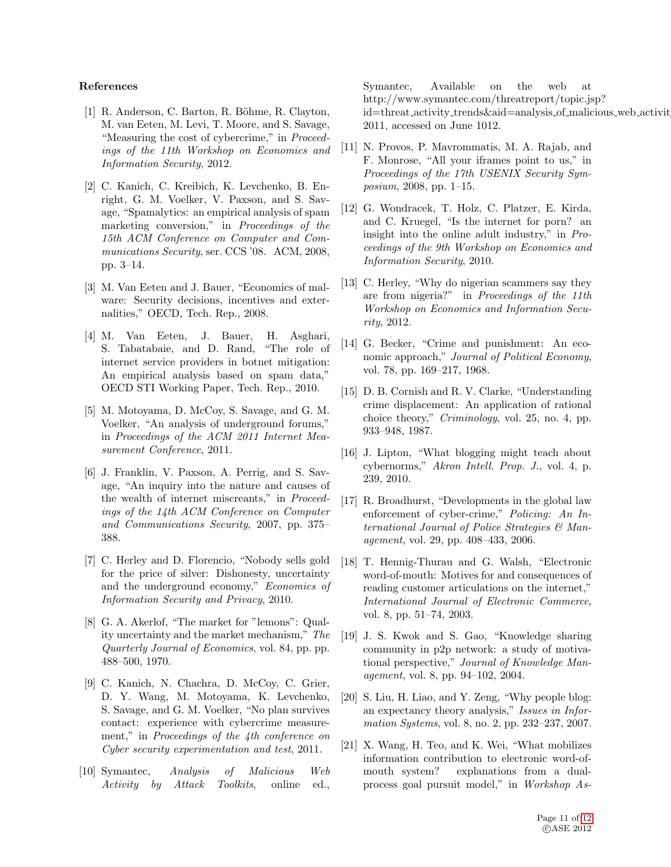#### References

- <span id="page-10-0"></span>[1] R. Anderson, C. Barton, R. Böhme, R. Clayton, M. van Eeten, M. Levi, T. Moore, and S. Savage, "Measuring the cost of cybercrime," in Proceedings of the 11th Workshop on Economics and Information Security, 2012.
- <span id="page-10-1"></span>[2] C. Kanich, C. Kreibich, K. Levchenko, B. Enright, G. M. Voelker, V. Paxson, and S. Savage, "Spamalytics: an empirical analysis of spam marketing conversion," in Proceedings of the 15th ACM Conference on Computer and Communications Security, ser. CCS '08. ACM, 2008, pp. 3–14.
- <span id="page-10-2"></span>[3] M. Van Eeten and J. Bauer, "Economics of malware: Security decisions, incentives and externalities," OECD, Tech. Rep., 2008.
- <span id="page-10-3"></span>[4] M. Van Eeten, J. Bauer, H. Asghari, S. Tabatabaie, and D. Rand, "The role of internet service providers in botnet mitigation: An empirical analysis based on spam data," OECD STI Working Paper, Tech. Rep., 2010.
- <span id="page-10-4"></span>[5] M. Motoyama, D. McCoy, S. Savage, and G. M. Voelker, "An analysis of underground forums," in Proceedings of the ACM 2011 Internet Measurement Conference, 2011.
- <span id="page-10-5"></span>[6] J. Franklin, V. Paxson, A. Perrig, and S. Savage, "An inquiry into the nature and causes of the wealth of internet miscreants," in Proceedings of the 14th ACM Conference on Computer and Communications Security, 2007, pp. 375– 388.
- <span id="page-10-6"></span>[7] C. Herley and D. Florencio, "Nobody sells gold for the price of silver: Dishonesty, uncertainty and the underground economy," Economics of Information Security and Privacy, 2010.
- <span id="page-10-7"></span>[8] G. A. Akerlof, "The market for "lemons": Quality uncertainty and the market mechanism," The Quarterly Journal of Economics, vol. 84, pp. pp. 488–500, 1970.
- <span id="page-10-8"></span>[9] C. Kanich, N. Chachra, D. McCoy, C. Grier, D. Y. Wang, M. Motoyama, K. Levchenko, S. Savage, and G. M. Voelker, "No plan survives contact: experience with cybercrime measurement," in Proceedings of the 4th conference on Cyber security experimentation and test, 2011.
- <span id="page-10-9"></span>[10] Symantec, Analysis of Malicious Web Activity by Attack Toolkits, online ed.,

Symantec, Available on the web at http://www.symantec.com/threatreport/topic.jsp? id=threat\_activity\_trends&aid=analysis\_of\_malicious\_web\_activit 2011, accessed on June 1012.

- <span id="page-10-10"></span>[11] N. Provos, P. Mavrommatis, M. A. Rajab, and F. Monrose, "All your iframes point to us," in Proceedings of the 17th USENIX Security Symposium, 2008, pp. 1–15.
- <span id="page-10-11"></span>[12] G. Wondracek, T. Holz, C. Platzer, E. Kirda, and C. Kruegel, "Is the internet for porn? an insight into the online adult industry," in Proceedings of the 9th Workshop on Economics and Information Security, 2010.
- <span id="page-10-12"></span>[13] C. Herley, "Why do nigerian scammers say they are from nigeria?" in Proceedings of the 11th Workshop on Economics and Information Security, 2012.
- <span id="page-10-13"></span>[14] G. Becker, "Crime and punishment: An economic approach," Journal of Political Economy, vol. 78, pp. 169–217, 1968.
- <span id="page-10-14"></span>[15] D. B. Cornish and R. V. Clarke, "Understanding crime displacement: An application of rational choice theory," Criminology, vol. 25, no. 4, pp. 933–948, 1987.
- <span id="page-10-15"></span>[16] J. Lipton, "What blogging might teach about cybernorms," Akron Intell. Prop. J., vol. 4, p. 239, 2010.
- <span id="page-10-16"></span>[17] R. Broadhurst, "Developments in the global law enforcement of cyber-crime," Policing: An International Journal of Police Strategies & Management, vol. 29, pp. 408–433, 2006.
- <span id="page-10-17"></span>[18] T. Hennig-Thurau and G. Walsh, "Electronic word-of-mouth: Motives for and consequences of reading customer articulations on the internet," International Journal of Electronic Commerce, vol. 8, pp. 51–74, 2003.
- <span id="page-10-18"></span>[19] J. S. Kwok and S. Gao, "Knowledge sharing community in p2p network: a study of motivational perspective," Journal of Knowledge Management, vol. 8, pp. 94–102, 2004.
- <span id="page-10-19"></span>[20] S. Liu, H. Liao, and Y. Zeng, "Why people blog: an expectancy theory analysis," Issues in Information Systems, vol. 8, no. 2, pp. 232–237, 2007.
- <span id="page-10-20"></span>[21] X. Wang, H. Teo, and K. Wei, "What mobilizes information contribution to electronic word-ofmouth system? explanations from a dualprocess goal pursuit model," in Workshop As-